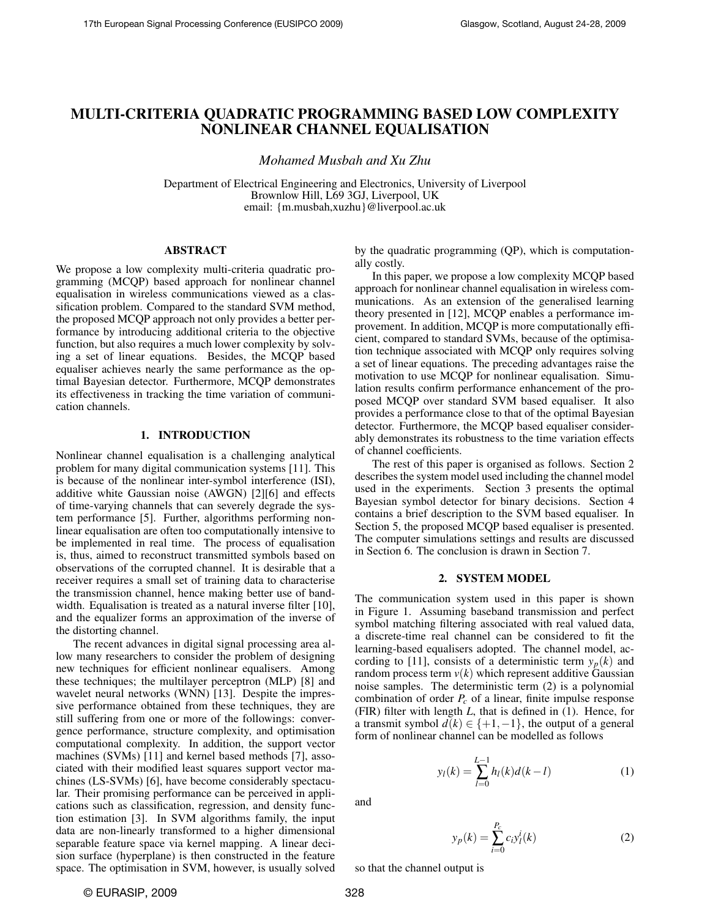# MULTI-CRITERIA QUADRATIC PROGRAMMING BASED LOW COMPLEXITY NONLINEAR CHANNEL EQUALISATION

*Mohamed Musbah and Xu Zhu*

Department of Electrical Engineering and Electronics, University of Liverpool Brownlow Hill, L69 3GJ, Liverpool, UK email: {m.musbah,xuzhu}@liverpool.ac.uk

### ABSTRACT

We propose a low complexity multi-criteria quadratic programming (MCQP) based approach for nonlinear channel equalisation in wireless communications viewed as a classification problem. Compared to the standard SVM method, the proposed MCQP approach not only provides a better performance by introducing additional criteria to the objective function, but also requires a much lower complexity by solving a set of linear equations. Besides, the MCQP based equaliser achieves nearly the same performance as the optimal Bayesian detector. Furthermore, MCQP demonstrates its effectiveness in tracking the time variation of communication channels.

### 1. INTRODUCTION

Nonlinear channel equalisation is a challenging analytical problem for many digital communication systems [11]. This is because of the nonlinear inter-symbol interference (ISI), additive white Gaussian noise (AWGN) [2][6] and effects of time-varying channels that can severely degrade the system performance [5]. Further, algorithms performing nonlinear equalisation are often too computationally intensive to be implemented in real time. The process of equalisation is, thus, aimed to reconstruct transmitted symbols based on observations of the corrupted channel. It is desirable that a receiver requires a small set of training data to characterise the transmission channel, hence making better use of bandwidth. Equalisation is treated as a natural inverse filter [10], and the equalizer forms an approximation of the inverse of the distorting channel.

The recent advances in digital signal processing area allow many researchers to consider the problem of designing new techniques for efficient nonlinear equalisers. Among these techniques; the multilayer perceptron (MLP) [8] and wavelet neural networks (WNN) [13]. Despite the impressive performance obtained from these techniques, they are still suffering from one or more of the followings: convergence performance, structure complexity, and optimisation computational complexity. In addition, the support vector machines (SVMs) [11] and kernel based methods [7], associated with their modified least squares support vector machines (LS-SVMs) [6], have become considerably spectacular. Their promising performance can be perceived in applications such as classification, regression, and density function estimation [3]. In SVM algorithms family, the input data are non-linearly transformed to a higher dimensional separable feature space via kernel mapping. A linear decision surface (hyperplane) is then constructed in the feature space. The optimisation in SVM, however, is usually solved by the quadratic programming (QP), which is computationally costly.

In this paper, we propose a low complexity MCQP based approach for nonlinear channel equalisation in wireless communications. As an extension of the generalised learning theory presented in [12], MCQP enables a performance improvement. In addition, MCQP is more computationally efficient, compared to standard SVMs, because of the optimisation technique associated with MCQP only requires solving a set of linear equations. The preceding advantages raise the motivation to use MCQP for nonlinear equalisation. Simulation results confirm performance enhancement of the proposed MCQP over standard SVM based equaliser. It also provides a performance close to that of the optimal Bayesian detector. Furthermore, the MCQP based equaliser considerably demonstrates its robustness to the time variation effects of channel coefficients.

The rest of this paper is organised as follows. Section 2 describes the system model used including the channel model used in the experiments. Section 3 presents the optimal Bayesian symbol detector for binary decisions. Section 4 contains a brief description to the SVM based equaliser. In Section 5, the proposed MCQP based equaliser is presented. The computer simulations settings and results are discussed in Section 6. The conclusion is drawn in Section 7.

#### 2. SYSTEM MODEL

The communication system used in this paper is shown in Figure 1. Assuming baseband transmission and perfect symbol matching filtering associated with real valued data, a discrete-time real channel can be considered to fit the learning-based equalisers adopted. The channel model, according to [11], consists of a deterministic term  $y_p(k)$  and random process term  $v(k)$  which represent additive Gaussian noise samples. The deterministic term (2) is a polynomial combination of order *P<sup>c</sup>* of a linear, finite impulse response (FIR) filter with length *L*, that is defined in (1). Hence, for a transmit symbol  $d(k) \in \{+1, -1\}$ , the output of a general form of nonlinear channel can be modelled as follows

$$
y_l(k) = \sum_{l=0}^{L-1} h_l(k)d(k-l)
$$
 (1)

and

$$
y_p(k) = \sum_{i=0}^{P_c} c_i y_l^i(k)
$$
 (2)

so that the channel output is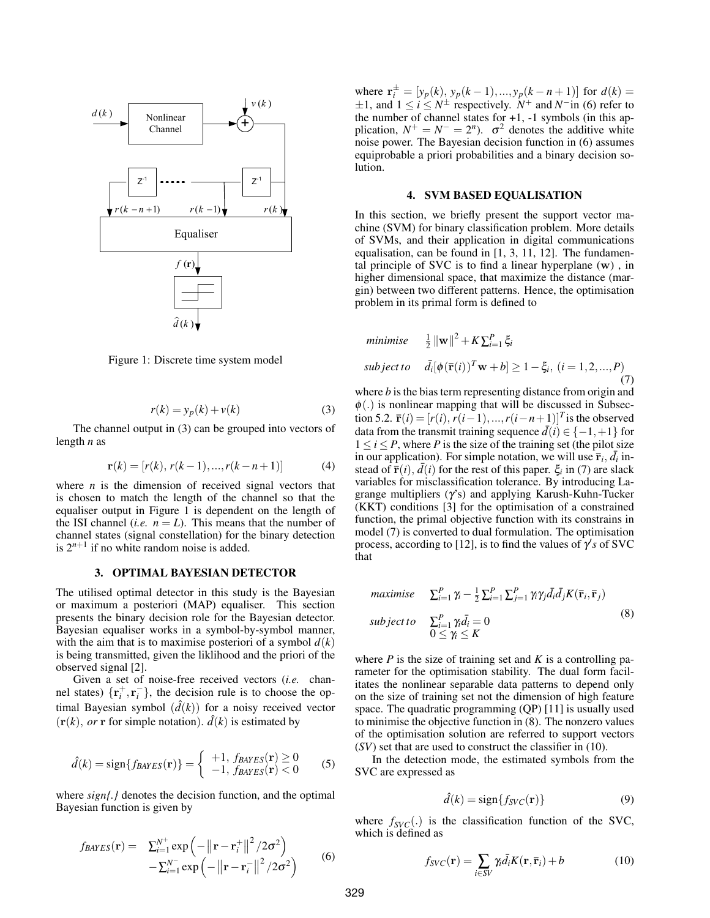

Figure 1: Discrete time system model

$$
r(k) = y_p(k) + v(k)
$$
 (3)

The channel output in (3) can be grouped into vectors of length *n* as

$$
\mathbf{r}(k) = [r(k), r(k-1), ..., r(k-n+1)] \tag{4}
$$

where  $n$  is the dimension of received signal vectors that is chosen to match the length of the channel so that the equaliser output in Figure 1 is dependent on the length of the ISI channel (*i.e.*  $n = L$ ). This means that the number of channel states (signal constellation) for the binary detection is  $2^{n+1}$  if no white random noise is added.

### 3. OPTIMAL BAYESIAN DETECTOR

The utilised optimal detector in this study is the Bayesian or maximum a posteriori (MAP) equaliser. This section presents the binary decision role for the Bayesian detector. Bayesian equaliser works in a symbol-by-symbol manner, with the aim that is to maximise posteriori of a symbol  $d(k)$ is being transmitted, given the liklihood and the priori of the observed signal [2].

Given a set of noise-free received vectors (*i.e.* channel states)  $\{\mathbf{r}_i^+, \mathbf{r}_i^-\}$ , the decision rule is to choose the optimal Bayesian symbol  $(\hat{d}(k))$  for a noisy received vector  $(r(k), or r$  for simple notation).  $\hat{d}(k)$  is estimated by

$$
\hat{d}(k) = \text{sign}\{f_{BAYES}(\mathbf{r})\} = \begin{cases} +1, f_{BAYES}(\mathbf{r}) \ge 0\\ -1, f_{BAYES}(\mathbf{r}) < 0 \end{cases}
$$
(5)

where *sign{.}* denotes the decision function, and the optimal Bayesian function is given by

$$
f_{BAYES}(\mathbf{r}) = \sum_{i=1}^{N^{+}} \exp\left(-\left\|\mathbf{r} - \mathbf{r}_{i}^{+}\right\|^{2} / 2\sigma^{2}\right) - \sum_{i=1}^{N^{-}} \exp\left(-\left\|\mathbf{r} - \mathbf{r}_{i}^{-}\right\|^{2} / 2\sigma^{2}\right)
$$
(6)

where  $\mathbf{r}_i^{\pm} = [y_p(k), y_p(k-1),..., y_p(k-n+1)]$  for  $d(k) =$  $\pm 1$ , and  $1 \le i \le N^{\pm}$  respectively. *N*<sup>+</sup> and *N*<sup>-</sup> in (6) refer to the number of channel states for  $+1$ ,  $-1$  symbols (in this application,  $N^+ = N^- = 2^n$ ).  $\sigma^2$  denotes the additive white noise power. The Bayesian decision function in (6) assumes equiprobable a priori probabilities and a binary decision solution.

#### 4. SVM BASED EQUALISATION

In this section, we briefly present the support vector machine (SVM) for binary classification problem. More details of SVMs, and their application in digital communications equalisation, can be found in [1, 3, 11, 12]. The fundamental principle of SVC is to find a linear hyperplane  $(w)$ , in higher dimensional space, that maximize the distance (margin) between two different patterns. Hence, the optimisation problem in its primal form is defined to

minimise 
$$
\frac{1}{2} ||\mathbf{w}||^2 + K \sum_{i=1}^P \xi_i
$$
  
subject to  $\bar{d}_i [\phi(\bar{\mathbf{r}}(i))^T \mathbf{w} + b] \ge 1 - \xi_i, (i = 1, 2, ..., P)$  (7)

where *b* is the bias term representing distance from origin and  $\phi(.)$  is nonlinear mapping that will be discussed in Subsection 5.2.  $\bar{\mathbf{r}}(i) = [r(i), r(i-1), ..., r(i-n+1)]^T$  is the observed data from the transmit training sequence  $\bar{d}(i) \in \{-1, +1\}$  for  $1 \le i \le P$ , where *P* is the size of the training set (the pilot size in our application). For simple notation, we will use  $\overline{\mathbf{r}}_i$ ,  $\overline{d}_i$  instead of  $\bar{\mathbf{r}}(i)$ ,  $\bar{d}(i)$  for the rest of this paper.  $\xi_i$  in (7) are slack variables for misclassification tolerance. By introducing Lagrange multipliers  $(\gamma s)$  and applying Karush-Kuhn-Tucker (KKT) conditions [3] for the optimisation of a constrained function, the primal objective function with its constrains in model (7) is converted to dual formulation. The optimisation process, according to [12], is to find the values of  $\gamma' s$  of SVC that

maximise 
$$
\sum_{i=1}^{P} \gamma_i - \frac{1}{2} \sum_{i=1}^{P} \sum_{j=1}^{P} \gamma_i \gamma_j \bar{d}_i \bar{d}_j K(\bar{\mathbf{r}}_i, \bar{\mathbf{r}}_j)
$$
  
subject to 
$$
\sum_{i=1}^{P} \gamma_i \bar{d}_i = 0
$$

$$
0 \le \gamma_i \le K
$$
 (8)

where *P* is the size of training set and *K* is a controlling parameter for the optimisation stability. The dual form facilitates the nonlinear separable data patterns to depend only on the size of training set not the dimension of high feature space. The quadratic programming (QP) [11] is usually used to minimise the objective function in (8). The nonzero values of the optimisation solution are referred to support vectors (*SV*) set that are used to construct the classifier in (10).

In the detection mode, the estimated symbols from the SVC are expressed as

$$
\hat{d}(k) = \text{sign}\{f_{SVC}(\mathbf{r})\}\tag{9}
$$

where  $f_{\text{SVC}}(.)$  is the classification function of the SVC, which is defined as

$$
f_{SVC}(\mathbf{r}) = \sum_{i \in SV} \gamma_i \bar{d}_i K(\mathbf{r}, \bar{\mathbf{r}}_i) + b \tag{10}
$$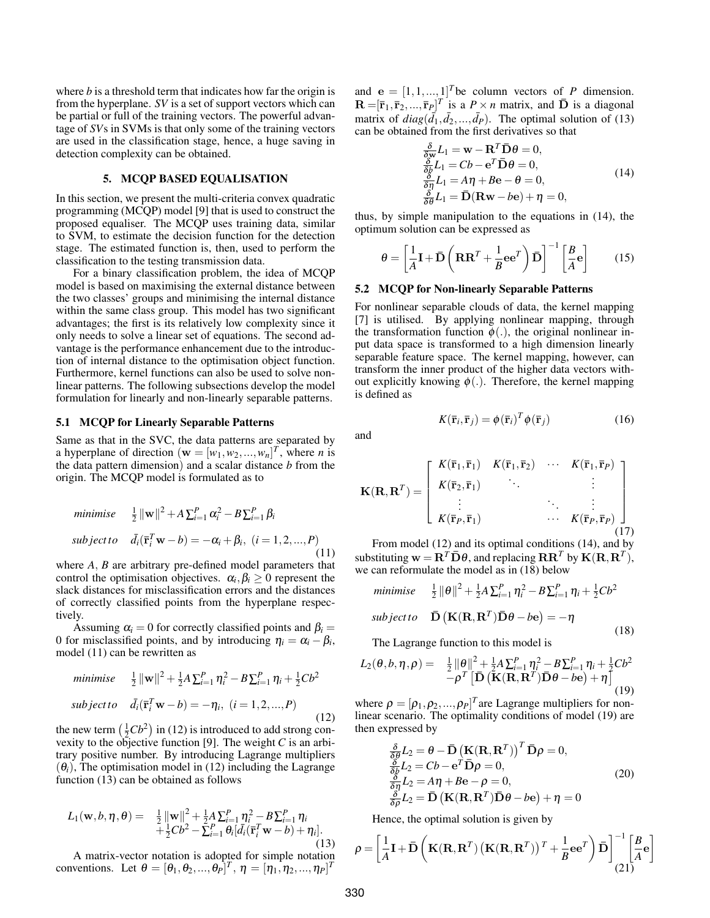where *b* is a threshold term that indicates how far the origin is from the hyperplane. *SV* is a set of support vectors which can be partial or full of the training vectors. The powerful advantage of *SV*s in SVMs is that only some of the training vectors are used in the classification stage, hence, a huge saving in detection complexity can be obtained.

## 5. MCQP BASED EQUALISATION

In this section, we present the multi-criteria convex quadratic programming (MCQP) model [9] that is used to construct the proposed equaliser. The MCQP uses training data, similar to SVM, to estimate the decision function for the detection stage. The estimated function is, then, used to perform the classification to the testing transmission data.

For a binary classification problem, the idea of MCQP model is based on maximising the external distance between the two classes' groups and minimising the internal distance within the same class group. This model has two significant advantages; the first is its relatively low complexity since it only needs to solve a linear set of equations. The second advantage is the performance enhancement due to the introduction of internal distance to the optimisation object function. Furthermore, kernel functions can also be used to solve nonlinear patterns. The following subsections develop the model formulation for linearly and non-linearly separable patterns.

### 5.1 MCQP for Linearly Separable Patterns

Same as that in the SVC, the data patterns are separated by a hyperplane of direction  $(\mathbf{w} = [w_1, w_2, ..., w_n]^T$ , where *n* is the data pattern dimension) and a scalar distance *b* from the origin. The MCQP model is formulated as to

minimise 
$$
\frac{1}{2} ||\mathbf{w}||^2 + A \sum_{i=1}^P \alpha_i^2 - B \sum_{i=1}^P \beta_i
$$
  
subject to  $\bar{d}_i(\bar{\mathbf{r}}_i^T \mathbf{w} - b) = -\alpha_i + \beta_i, (i = 1, 2, ..., P)$  (11)

where *A*, *B* are arbitrary pre-defined model parameters that control the optimisation objectives.  $\alpha_i, \beta_i \geq 0$  represent the slack distances for misclassification errors and the distances of correctly classified points from the hyperplane respectively.

Assuming  $\alpha_i = 0$  for correctly classified points and  $\beta_i =$ 0 for misclassified points, and by introducing  $\eta_i = \alpha_i - \beta_i$ , model (11) can be rewritten as

minimise 
$$
\frac{1}{2} ||\mathbf{w}||^2 + \frac{1}{2} A \sum_{i=1}^P \eta_i^2 - B \sum_{i=1}^P \eta_i + \frac{1}{2} C b^2
$$
  
\nsubject to  $\bar{d}_i(\bar{\mathbf{r}}_i^T \mathbf{w} - b) = -\eta_i, (i = 1, 2, ..., P)$  (12)

the new term  $(\frac{1}{2}Cb^2)$  in (12) is introduced to add strong convexity to the objective function [9]. The weight *C* is an arbitrary positive number. By introducing Lagrange multipliers  $(\theta_i)$ , The optimisation model in (12) including the Lagrange function (13) can be obtained as follows

$$
L_1(\mathbf{w}, b, \eta, \theta) = \frac{1}{2} {\|\mathbf{w}\|}^2 + \frac{1}{2} A {\sum_{i=1}^P} \eta_i^2 - B {\sum_{i=1}^P} \eta_i + \frac{1}{2} C b^2 - {\sum_{i=1}^P} \theta_i [\bar{d}_i (\bar{\mathbf{r}}_i^T \mathbf{w} - b) + \eta_i].
$$
\n(13)

A matrix-vector notation is adopted for simple notation conventions. Let  $\theta = [\theta_1, \theta_2, ..., \theta_P]^T$ ,  $\eta = [\eta_1, \eta_2, ..., \eta_P]^T$ 

and  $\mathbf{e} = [1, 1, ..., 1]^T$  be column vectors of *P* dimension.  $\mathbf{R} = [\bar{\mathbf{r}}_1, \bar{\mathbf{r}}_2, ..., \bar{\mathbf{r}}_P]^T$  is a  $P \times n$  matrix, and  $\bar{\mathbf{D}}$  is a diagonal matrix of  $diag(\bar{d}_1, \bar{d}_2, ..., \bar{d}_P)$ . The optimal solution of (13) can be obtained from the first derivatives so that

$$
\frac{\delta}{\delta_{\mathbf{w}}} L_1 = \mathbf{w} - \mathbf{R}^T \bar{\mathbf{D}} \theta = 0, \n\frac{\delta}{\delta_b} L_1 = Cb - \mathbf{e}^T \bar{\mathbf{D}} \theta = 0, \n\frac{\delta}{\delta \eta} L_1 = A\eta + B\mathbf{e} - \theta = 0, \n\frac{\delta}{\delta \theta} L_1 = \bar{\mathbf{D}} (\mathbf{R} \mathbf{w} - b\mathbf{e}) + \eta = 0,
$$
\n(14)

thus, by simple manipulation to the equations in (14), the optimum solution can be expressed as

$$
\theta = \left[\frac{1}{A}\mathbf{I} + \mathbf{\bar{D}}\left(\mathbf{R}\mathbf{R}^T + \frac{1}{B}\mathbf{e}\mathbf{e}^T\right)\mathbf{\bar{D}}\right]^{-1}\left[\frac{B}{A}\mathbf{e}\right]
$$
 (15)

#### 5.2 MCQP for Non-linearly Separable Patterns

For nonlinear separable clouds of data, the kernel mapping [7] is utilised. By applying nonlinear mapping, through the transformation function  $\phi(.)$ , the original nonlinear input data space is transformed to a high dimension linearly separable feature space. The kernel mapping, however, can transform the inner product of the higher data vectors without explicitly knowing  $\phi(.)$ . Therefore, the kernel mapping is defined as

and

$$
\mathbf{K}(\mathbf{R}, \mathbf{R}^T) = \begin{bmatrix} K(\bar{\mathbf{r}}_1, \bar{\mathbf{r}}_1) & K(\bar{\mathbf{r}}_1, \bar{\mathbf{r}}_2) & \cdots & K(\bar{\mathbf{r}}_1, \bar{\mathbf{r}}_P) \\ K(\bar{\mathbf{r}}_2, \bar{\mathbf{r}}_1) & \ddots & & \vdots \\ \vdots & & \ddots & \vdots \\ K(\bar{\mathbf{r}}_P, \bar{\mathbf{r}}_1) & \cdots & K(\bar{\mathbf{r}}_P, \bar{\mathbf{r}}_P) \end{bmatrix}
$$
(17)

 $K(\bar{\mathbf{r}}_i, \bar{\mathbf{r}}_j) = \phi(\bar{\mathbf{r}}_i)^T \phi(\bar{\mathbf{r}}_j)$  (16)

From model (12) and its optimal conditions (14), and by substituting  $\mathbf{w} = \mathbf{R}^T \mathbf{D} \theta$ , and replacing  $\mathbf{R} \mathbf{R}^T$  by  $\mathbf{K}(\mathbf{R}, \mathbf{R}^T)$ , we can reformulate the model as in (18) below

$$
\begin{aligned}\n\text{minimize} & \quad \frac{1}{2} \|\theta\|^2 + \frac{1}{2} A \sum_{i=1}^P \eta_i^2 - B \sum_{i=1}^P \eta_i + \frac{1}{2} C b^2 \\
\text{subject to} & \quad \bar{\mathbf{D}} \left( \mathbf{K}(\mathbf{R}, \mathbf{R}^T) \bar{\mathbf{D}} \theta - b \mathbf{e} \right) = -\eta\n\end{aligned} \tag{18}
$$

The Lagrange function to this model is

$$
L_2(\theta, b, \eta, \rho) = \frac{1}{2} \|\theta\|^2 + \frac{1}{2} A \sum_{i=1}^P \eta_i^2 - B \sum_{i=1}^P \eta_i + \frac{1}{2} C b^2 - \rho^T \left[ \mathbf{\bar{D}} \left( \mathbf{K}(\mathbf{R}, \mathbf{R}^T) \mathbf{\bar{D}} \theta - b \mathbf{e} \right) + \eta \right]
$$
(19)

where  $\rho = [\rho_1, \rho_2, ..., \rho_P]^T$  are Lagrange multipliers for nonlinear scenario. The optimality conditions of model (19) are then expressed by

$$
\frac{\delta}{\delta \theta} L_2 = \theta - \bar{\mathbf{D}} \left( \mathbf{K} (\mathbf{R}, \mathbf{R}^T) \right)^T \bar{\mathbf{D}} \rho = 0, \n\frac{\delta}{\delta \beta} L_2 = Cb - e^T \bar{\mathbf{D}} \rho = 0, \n\frac{\delta}{\delta \eta} L_2 = A\eta + B\mathbf{e} - \rho = 0, \n\frac{\delta}{\delta \rho} L_2 = \bar{\mathbf{D}} \left( \mathbf{K} (\mathbf{R}, \mathbf{R}^T) \bar{\mathbf{D}} \theta - b\mathbf{e} \right) + \eta = 0
$$
\n(20)

Hence, the optimal solution is given by

$$
\rho = \left[\frac{1}{A}\mathbf{I} + \mathbf{\bar{D}}\left(\mathbf{K}(\mathbf{R}, \mathbf{R}^T) \left(\mathbf{K}(\mathbf{R}, \mathbf{R}^T)\right)^T + \frac{1}{B}\mathbf{e}\mathbf{e}^T\right)\mathbf{\bar{D}}\right]_{(21)}^{-1} \left[\frac{B}{A}\mathbf{e}\right]
$$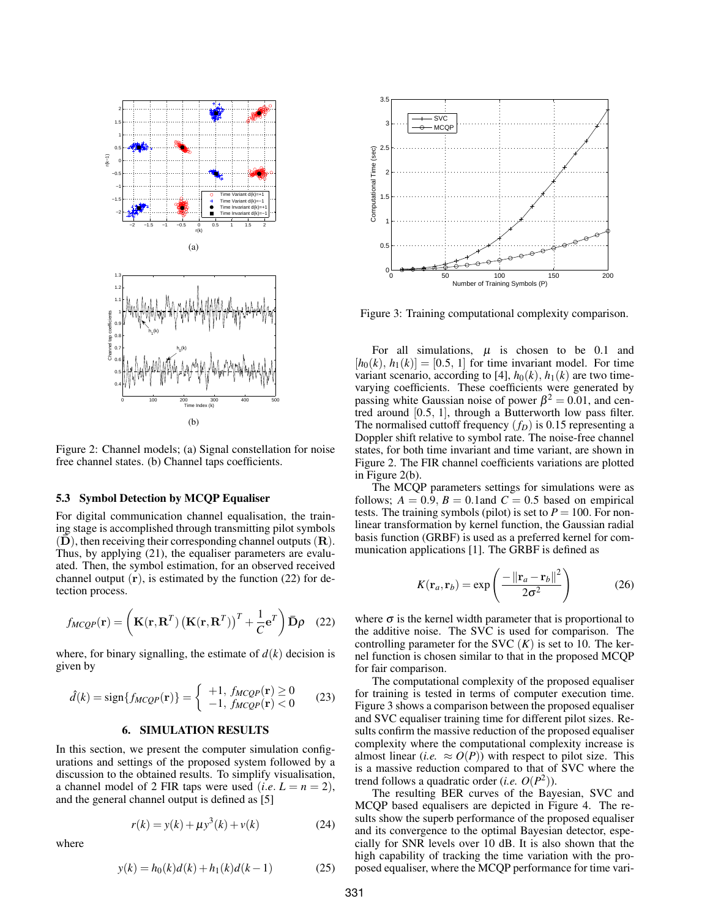

Figure 2: Channel models; (a) Signal constellation for noise free channel states. (b) Channel taps coefficients.

#### 5.3 Symbol Detection by MCQP Equaliser

For digital communication channel equalisation, the training stage is accomplished through transmitting pilot symbols  $(D)$ , then receiving their corresponding channel outputs  $(R)$ . Thus, by applying (21), the equaliser parameters are evaluated. Then, the symbol estimation, for an observed received channel output  $(r)$ , is estimated by the function (22) for detection process.

$$
f_{MCQP}(\mathbf{r}) = \left(\mathbf{K}(\mathbf{r}, \mathbf{R}^T) \left(\mathbf{K}(\mathbf{r}, \mathbf{R}^T)\right)^T + \frac{1}{C} \mathbf{e}^T\right) \mathbf{\bar{D}} \rho \quad (22)
$$

where, for binary signalling, the estimate of  $d(k)$  decision is given by

$$
\hat{d}(k) = \text{sign}\{f_{MCQP}(\mathbf{r})\} = \begin{cases} +1, f_{MCQP}(\mathbf{r}) \ge 0\\ -1, f_{MCQP}(\mathbf{r}) < 0 \end{cases} \tag{23}
$$

#### 6. SIMULATION RESULTS

In this section, we present the computer simulation configurations and settings of the proposed system followed by a discussion to the obtained results. To simplify visualisation, a channel model of 2 FIR taps were used (*i.e.*  $L = n = 2$ ), and the general channel output is defined as [5]

$$
r(k) = y(k) + \mu y^{3}(k) + v(k)
$$
 (24)

where

$$
y(k) = h_0(k)d(k) + h_1(k)d(k-1)
$$
 (25)



Figure 3: Training computational complexity comparison.

For all simulations,  $\mu$  is chosen to be 0.1 and  $[h_0(k), h_1(k)] = [0.5, 1]$  for time invariant model. For time variant scenario, according to [4],  $h_0(k)$ ,  $h_1(k)$  are two timevarying coefficients. These coefficients were generated by passing white Gaussian noise of power  $\beta^2 = 0.01$ , and centred around [0.5, 1], through a Butterworth low pass filter. The normalised cuttoff frequency  $(f_D)$  is 0.15 representing a Doppler shift relative to symbol rate. The noise-free channel states, for both time invariant and time variant, are shown in Figure 2. The FIR channel coefficients variations are plotted in Figure 2(b).

The MCQP parameters settings for simulations were as follows;  $A = 0.9$ ,  $B = 0.1$  and  $C = 0.5$  based on empirical tests. The training symbols (pilot) is set to  $P = 100$ . For nonlinear transformation by kernel function, the Gaussian radial basis function (GRBF) is used as a preferred kernel for communication applications [1]. The GRBF is defined as

$$
K(\mathbf{r}_a, \mathbf{r}_b) = \exp\left(\frac{-\left\|\mathbf{r}_a - \mathbf{r}_b\right\|^2}{2\sigma^2}\right) \tag{26}
$$

where  $\sigma$  is the kernel width parameter that is proportional to the additive noise. The SVC is used for comparison. The controlling parameter for the SVC  $(K)$  is set to 10. The kernel function is chosen similar to that in the proposed MCQP for fair comparison.

The computational complexity of the proposed equaliser for training is tested in terms of computer execution time. Figure 3 shows a comparison between the proposed equaliser and SVC equaliser training time for different pilot sizes. Results confirm the massive reduction of the proposed equaliser complexity where the computational complexity increase is almost linear (*i.e.*  $\approx O(P)$ ) with respect to pilot size. This is a massive reduction compared to that of SVC where the trend follows a quadratic order (*i.e.*  $O(P^2)$ ).

The resulting BER curves of the Bayesian, SVC and MCQP based equalisers are depicted in Figure 4. The results show the superb performance of the proposed equaliser and its convergence to the optimal Bayesian detector, especially for SNR levels over 10 dB. It is also shown that the high capability of tracking the time variation with the proposed equaliser, where the MCQP performance for time vari-